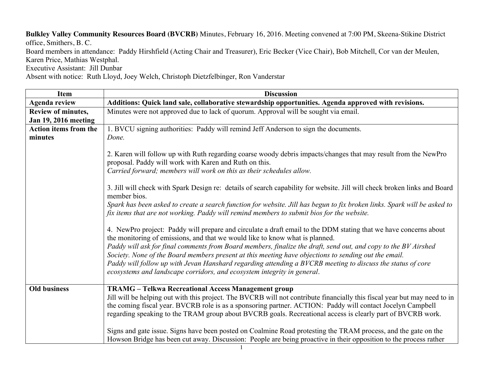**Bulkley Valley Community Resources Board (BVCRB)** Minutes, February 16, 2016. Meeting convened at 7:00 PM, Skeena-Stikine District office, Smithers, B. C. Board members in attendance: Paddy Hirshfield (Acting Chair and Treasurer), Eric Becker (Vice Chair), Bob Mitchell, Cor van der Meulen, Karen Price, Mathias Westphal.

Executive Assistant: Jill Dunbar

Absent with notice: Ruth Lloyd, Joey Welch, Christoph Dietzfelbinger, Ron Vanderstar

| <b>Item</b>                  | <b>Discussion</b>                                                                                                                                                                                                                                                                                                                                                                                                                                                                                                                                                                                                                                          |
|------------------------------|------------------------------------------------------------------------------------------------------------------------------------------------------------------------------------------------------------------------------------------------------------------------------------------------------------------------------------------------------------------------------------------------------------------------------------------------------------------------------------------------------------------------------------------------------------------------------------------------------------------------------------------------------------|
| <b>Agenda review</b>         | Additions: Quick land sale, collaborative stewardship opportunities. Agenda approved with revisions.                                                                                                                                                                                                                                                                                                                                                                                                                                                                                                                                                       |
| Review of minutes,           | Minutes were not approved due to lack of quorum. Approval will be sought via email.                                                                                                                                                                                                                                                                                                                                                                                                                                                                                                                                                                        |
| <b>Jan 19, 2016 meeting</b>  |                                                                                                                                                                                                                                                                                                                                                                                                                                                                                                                                                                                                                                                            |
| <b>Action items from the</b> | 1. BVCU signing authorities: Paddy will remind Jeff Anderson to sign the documents.                                                                                                                                                                                                                                                                                                                                                                                                                                                                                                                                                                        |
| minutes                      | Done.                                                                                                                                                                                                                                                                                                                                                                                                                                                                                                                                                                                                                                                      |
|                              | 2. Karen will follow up with Ruth regarding coarse woody debris impacts/changes that may result from the NewPro<br>proposal. Paddy will work with Karen and Ruth on this.<br>Carried forward; members will work on this as their schedules allow.<br>3. Jill will check with Spark Design re: details of search capability for website. Jill will check broken links and Board<br>member bios.<br>Spark has been asked to create a search function for website. Jill has begun to fix broken links. Spark will be asked to<br>fix items that are not working. Paddy will remind members to submit bios for the website.                                    |
|                              | 4. NewPro project: Paddy will prepare and circulate a draft email to the DDM stating that we have concerns about<br>the monitoring of emissions, and that we would like to know what is planned.<br>Paddy will ask for final comments from Board members, finalize the draft, send out, and copy to the BV Airshed<br>Society. None of the Board members present at this meeting have objections to sending out the email.<br>Paddy will follow up with Jevan Hanshard regarding attending a BVCRB meeting to discuss the status of core<br>ecosystems and landscape corridors, and ecosystem integrity in general.                                        |
| <b>Old business</b>          | <b>TRAMG</b> - Telkwa Recreational Access Management group<br>Jill will be helping out with this project. The BVCRB will not contribute financially this fiscal year but may need to in<br>the coming fiscal year. BVCRB role is as a sponsoring partner. ACTION: Paddy will contact Jocelyn Campbell<br>regarding speaking to the TRAM group about BVCRB goals. Recreational access is clearly part of BVCRB work.<br>Signs and gate issue. Signs have been posted on Coalmine Road protesting the TRAM process, and the gate on the<br>Howson Bridge has been cut away. Discussion: People are being proactive in their opposition to the process rather |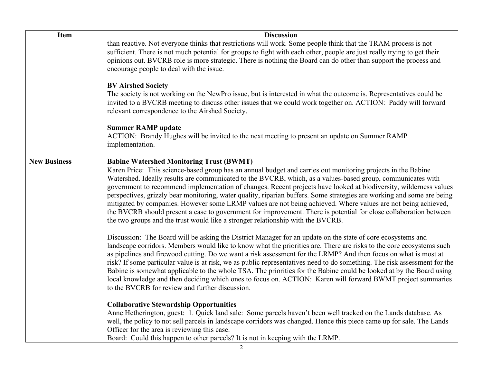| <b>Item</b>         | <b>Discussion</b>                                                                                                                                                                                                                                                                                                                                                                                                                                                                                                                                                                                                                                                                                                                                                                                                                                      |
|---------------------|--------------------------------------------------------------------------------------------------------------------------------------------------------------------------------------------------------------------------------------------------------------------------------------------------------------------------------------------------------------------------------------------------------------------------------------------------------------------------------------------------------------------------------------------------------------------------------------------------------------------------------------------------------------------------------------------------------------------------------------------------------------------------------------------------------------------------------------------------------|
|                     | than reactive. Not everyone thinks that restrictions will work. Some people think that the TRAM process is not<br>sufficient. There is not much potential for groups to fight with each other, people are just really trying to get their<br>opinions out. BVCRB role is more strategic. There is nothing the Board can do other than support the process and<br>encourage people to deal with the issue.                                                                                                                                                                                                                                                                                                                                                                                                                                              |
|                     | <b>BV Airshed Society</b><br>The society is not working on the NewPro issue, but is interested in what the outcome is. Representatives could be<br>invited to a BVCRB meeting to discuss other issues that we could work together on. ACTION: Paddy will forward<br>relevant correspondence to the Airshed Society.                                                                                                                                                                                                                                                                                                                                                                                                                                                                                                                                    |
|                     | <b>Summer RAMP update</b><br>ACTION: Brandy Hughes will be invited to the next meeting to present an update on Summer RAMP<br>implementation.                                                                                                                                                                                                                                                                                                                                                                                                                                                                                                                                                                                                                                                                                                          |
| <b>New Business</b> | <b>Babine Watershed Monitoring Trust (BWMT)</b><br>Karen Price: This science-based group has an annual budget and carries out monitoring projects in the Babine<br>Watershed. Ideally results are communicated to the BVCRB, which, as a values-based group, communicates with<br>government to recommend implementation of changes. Recent projects have looked at biodiversity, wilderness values<br>perspectives, grizzly bear monitoring, water quality, riparian buffers. Some strategies are working and some are being<br>mitigated by companies. However some LRMP values are not being achieved. Where values are not being achieved,<br>the BVCRB should present a case to government for improvement. There is potential for close collaboration between<br>the two groups and the trust would like a stronger relationship with the BVCRB. |
|                     | Discussion: The Board will be asking the District Manager for an update on the state of core ecosystems and<br>landscape corridors. Members would like to know what the priorities are. There are risks to the core ecosystems such<br>as pipelines and firewood cutting. Do we want a risk assessment for the LRMP? And then focus on what is most at<br>risk? If some particular value is at risk, we as public representatives need to do something. The risk assessment for the<br>Babine is somewhat applicable to the whole TSA. The priorities for the Babine could be looked at by the Board using<br>local knowledge and then deciding which ones to focus on. ACTION: Karen will forward BWMT project summaries<br>to the BVCRB for review and further discussion.                                                                           |
|                     | <b>Collaborative Stewardship Opportunities</b><br>Anne Hetherington, guest: 1. Quick land sale: Some parcels haven't been well tracked on the Lands database. As<br>well, the policy to not sell parcels in landscape corridors was changed. Hence this piece came up for sale. The Lands<br>Officer for the area is reviewing this case.<br>Board: Could this happen to other parcels? It is not in keeping with the LRMP.                                                                                                                                                                                                                                                                                                                                                                                                                            |